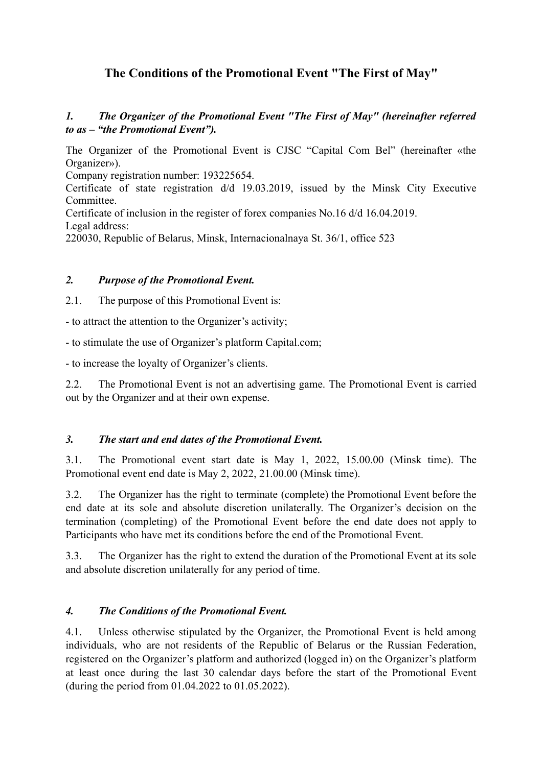# **The Conditions of the Promotional Event "The First of May"**

*1. The Organizer of the Promotional Event "The First of May" (hereinafter referred to as – "the Promotional Event").*

The Organizer of the Promotional Event is CJSC "Capital Com Bel" (hereinafter «the Organizer»).

Company registration number: 193225654.

Certificate of state registration d/d 19.03.2019, issued by the Minsk City Executive **Committee** 

Certificate of inclusion in the register of forex companies No.16 d/d 16.04.2019. Legal address:

220030, Republic of Belarus, Minsk, Internacionalnaya St. 36/1, office 523

#### *2. Purpose of the Promotional Event.*

2.1. The purpose of this Promotional Event is:

- to attract the attention to the Organizer's activity;

- to stimulate the use of Organizer's platform Capital.com;

- to increase the loyalty of Organizer's clients.

2.2. The Promotional Event is not an advertising game. The Promotional Event is carried out by the Organizer and at their own expense.

## *3. The start and end dates of the Promotional Event.*

3.1. The Promotional event start date is May 1, 2022, 15.00.00 (Minsk time). The Promotional event end date is May 2, 2022, 21.00.00 (Minsk time).

3.2. The Organizer has the right to terminate (complete) the Promotional Event before the end date at its sole and absolute discretion unilaterally. The Organizer's decision on the termination (completing) of the Promotional Event before the end date does not apply to Participants who have met its conditions before the end of the Promotional Event.

3.3. The Organizer has the right to extend the duration of the Promotional Event at its sole and absolute discretion unilaterally for any period of time.

#### *4. The Conditions of the Promotional Event.*

4.1. Unless otherwise stipulated by the Organizer, the Promotional Event is held among individuals, who are not residents of the Republic of Belarus or the Russian Federation, registered on the Organizer's platform and authorized (logged in) on the Organizer's platform at least once during the last 30 calendar days before the start of the Promotional Event (during the period from 01.04.2022 to 01.05.2022).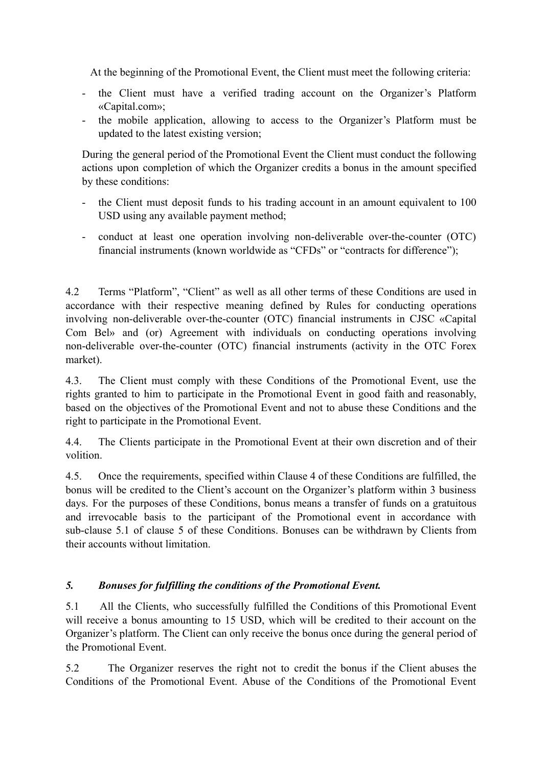At the beginning of the Promotional Event, the Client must meet the following criteria:

- the Client must have a verified trading account on the Organizer's Platform «Capital.com»;
- the mobile application, allowing to access to the Organizer's Platform must be updated to the latest existing version;

During the general period of the Promotional Event the Client must conduct the following actions upon completion of which the Organizer credits a bonus in the amount specified by these conditions:

- the Client must deposit funds to his trading account in an amount equivalent to 100 USD using any available payment method;
- conduct at least one operation involving non-deliverable over-the-counter (OTC) financial instruments (known worldwide as "CFDs" or "contracts for difference");

4.2 Terms "Platform", "Client" as well as all other terms of these Conditions are used in accordance with their respective meaning defined by Rules for conducting operations involving non-deliverable over-the-counter (OTC) financial instruments in CJSC «Capital Com Bel» and (or) Agreement with individuals on conducting operations involving non-deliverable over-the-counter (OTC) financial instruments (activity in the OTC Forex market).

4.3. The Client must comply with these Conditions of the Promotional Event, use the rights granted to him to participate in the Promotional Event in good faith and reasonably, based on the objectives of the Promotional Event and not to abuse these Conditions and the right to participate in the Promotional Event.

4.4. The Clients participate in the Promotional Event at their own discretion and of their volition.

4.5. Once the requirements, specified within Clause 4 of these Conditions are fulfilled, the bonus will be credited to the Client's account on the Organizer's platform within 3 business days. For the purposes of these Conditions, bonus means a transfer of funds on a gratuitous and irrevocable basis to the participant of the Promotional event in accordance with sub-clause 5.1 of clause 5 of these Conditions. Bonuses can be withdrawn by Clients from their accounts without limitation.

## *5. Bonuses for fulfilling the conditions of the Promotional Event.*

5.1 All the Clients, who successfully fulfilled the Conditions of this Promotional Event will receive a bonus amounting to 15 USD, which will be credited to their account on the Organizer's platform. The Client can only receive the bonus once during the general period of the Promotional Event.

5.2 The Organizer reserves the right not to credit the bonus if the Client abuses the Conditions of the Promotional Event. Abuse of the Conditions of the Promotional Event